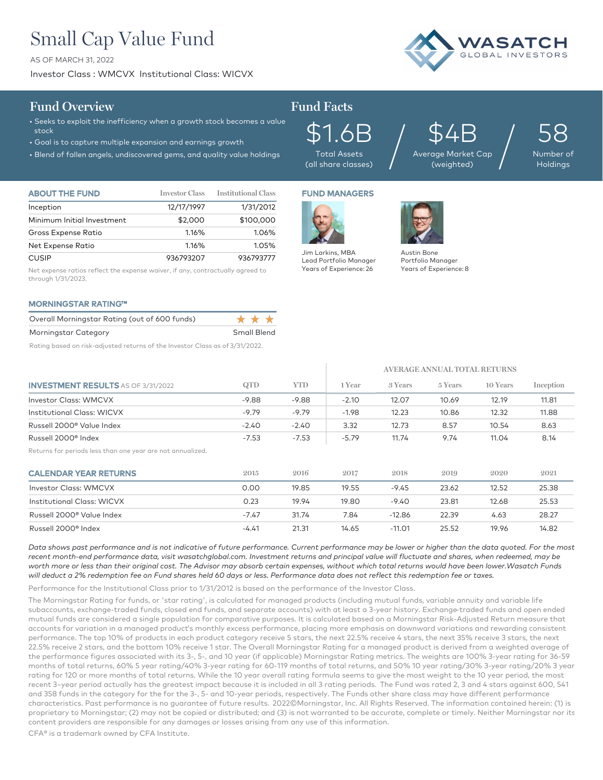# Small Cap Value Fund

AS OF MARCH 31, 2022

Investor Class : WMCVX Institutional Class: WICVX



## **Fund Overview Fund Facts**

- Seeks to exploit the inefficiency when a growth stock becomes a value stock
- Goal is to capture multiple expansion and earnings growth
- Blend of fallen angels, undiscovered gems, and quality value holdings

\$1.6B Total Assets (all share classes)

\$4B Average Market Cap  $\mathfrak{S4B}_{\tiny{\text{age Market Cap}}} \Big/$ 

58 Number of Holdings

| <b>ABOUT THE FUND</b>      | <b>Investor Class</b> | <b>Institutional Class</b> |
|----------------------------|-----------------------|----------------------------|
| Inception                  | 12/17/1997            | 1/31/2012                  |
| Minimum Initial Investment | \$2,000               | \$100,000                  |
| Gross Expense Ratio        | 1.16%                 | 1.06%                      |
| Net Expense Ratio          | 1.16%                 | 1.05%                      |
| <b>CUSIP</b>               | 936793207             | 936793777                  |

Net expense ratios reflect the expense waiver, if any, contractually agreed to through 1/31/2023.

### MORNINGSTAR RATING™

| Overall Morningstar Rating (out of 600 funds) | * * * *            |
|-----------------------------------------------|--------------------|
| Morningstar Category                          | <b>Small Blend</b> |
|                                               | _ _ _ _ _ _ _ _    |

Rating based on risk-adjusted returns of the Investor Class as of 3/31/2022.

## FUND MANAGERS



Lead Portfolio Manager Years of Experience: 26



Portfolio Manager Years of Experience: 8

**AVERAGE ANNUAL TOTAL RETURNS**

| <b>INVESTMENT RESULTS</b> AS OF 3/31/2022                  | QTD     | YTD.    | 1 Year  | 3 Years  | 5 Years | 10 Years | Inception |
|------------------------------------------------------------|---------|---------|---------|----------|---------|----------|-----------|
| <b>Investor Class: WMCVX</b>                               | $-9.88$ | $-9.88$ | $-2.10$ | 12.07    | 10.69   | 12.19    | 11.81     |
| Institutional Class: WICVX                                 | $-9.79$ | $-9.79$ | $-1.98$ | 12.23    | 10.86   | 12.32    | 11.88     |
| Russell 2000 <sup>®</sup> Value Index                      | $-2.40$ | $-2.40$ | 3.32    | 12.73    | 8.57    | 10.54    | 8.63      |
| Russell 2000 <sup>®</sup> Index                            | $-7.53$ | $-7.53$ | $-5.79$ | 11.74    | 9.74    | 11.04    | 8.14      |
| Returns for periods less than one year are not annualized. |         |         |         |          |         |          |           |
| <b>CALENDAR YEAR RETURNS</b>                               | 2015    | 2016    | 2017    | 2018     | 2019    | 2020     | 2021      |
| Investor Class: WMCVX                                      | 0.00    | 19.85   | 19.55   | $-9.45$  | 23.62   | 12.52    | 25.38     |
| Institutional Class: WICVX                                 | 0.23    | 19.94   | 19.80   | $-9.40$  | 23.81   | 12.68    | 25.53     |
| Russell 2000 <sup>®</sup> Value Index                      | $-7.47$ | 31.74   | 7.84    | $-12.86$ | 22.39   | 4.63     | 28.27     |
| Russell 2000 <sup>®</sup> Index                            | $-4.41$ | 21.31   | 14.65   | $-11.01$ | 25.52   | 19.96    | 14.82     |

*Data shows past performance and is not indicative of future performance. Current performance may be lower or higher than the data quoted. For the most*  recent month-end performance data, visit wasatchglobal.com. Investment returns and principal value will fluctuate and shares, when redeemed, may be *worth more or less than their original cost. The Advisor may absorb certain expenses, without which total returns would have been lower.Wasatch Funds will deduct a 2% redemption fee on Fund shares held 60 days or less. Performance data does not reflect this redemption fee or taxes.*

Performance for the Institutional Class prior to 1/31/2012 is based on the performance of the Investor Class.

The Morningstar Rating for funds, or 'star rating', is calculated for managed products (including mutual funds, variable annuity and variable life subaccounts, exchange-traded funds, closed end funds, and separate accounts) with at least a 3-year history. Exchange–traded funds and open ended mutual funds are considered a single population for comparative purposes. It is calculated based on a Morningstar Risk-Adjusted Return measure that accounts for variation in a managed product's monthly excess performance, placing more emphasis on downward variations and rewarding consistent performance. The top 10% of products in each product category receive 5 stars, the next 22.5% receive 4 stars, the next 35% receive 3 stars, the next 22.5% receive 2 stars, and the bottom 10% receive 1 star. The Overall Morningstar Rating for a managed product is derived from a weighted average of the performance figures associated with its 3-, 5-, and 10 year (if applicable) Morningstar Rating metrics. The weights are 100% 3-year rating for 36-59 months of total returns, 60% 5 year rating/40% 3-year rating for 60-119 months of total returns, and 50% 10 year rating/30% 3-year rating/20% 3 year rating for 120 or more months of total returns. While the 10 year overall rating formula seems to give the most weight to the 10 year period, the most recent 3–year period actually has the greatest impact because it is included in all 3 rating periods. The Fund was rated 2, 3 and 4 stars against 600, 541 and 358 funds in the category for the for the 3-, 5- and 10-year periods, respectively. The Funds other share class may have different performance characteristics. Past performance is no guarantee of future results. 2022©Morningstar, Inc. All Rights Reserved. The information contained herein: (1) is proprietary to Morningstar; (2) may not be copied or distributed; and (3) is not warranted to be accurate, complete or timely. Neither Morningstar nor its content providers are responsible for any damages or losses arising from any use of this information.

CFA® is a trademark owned by CFA Institute.